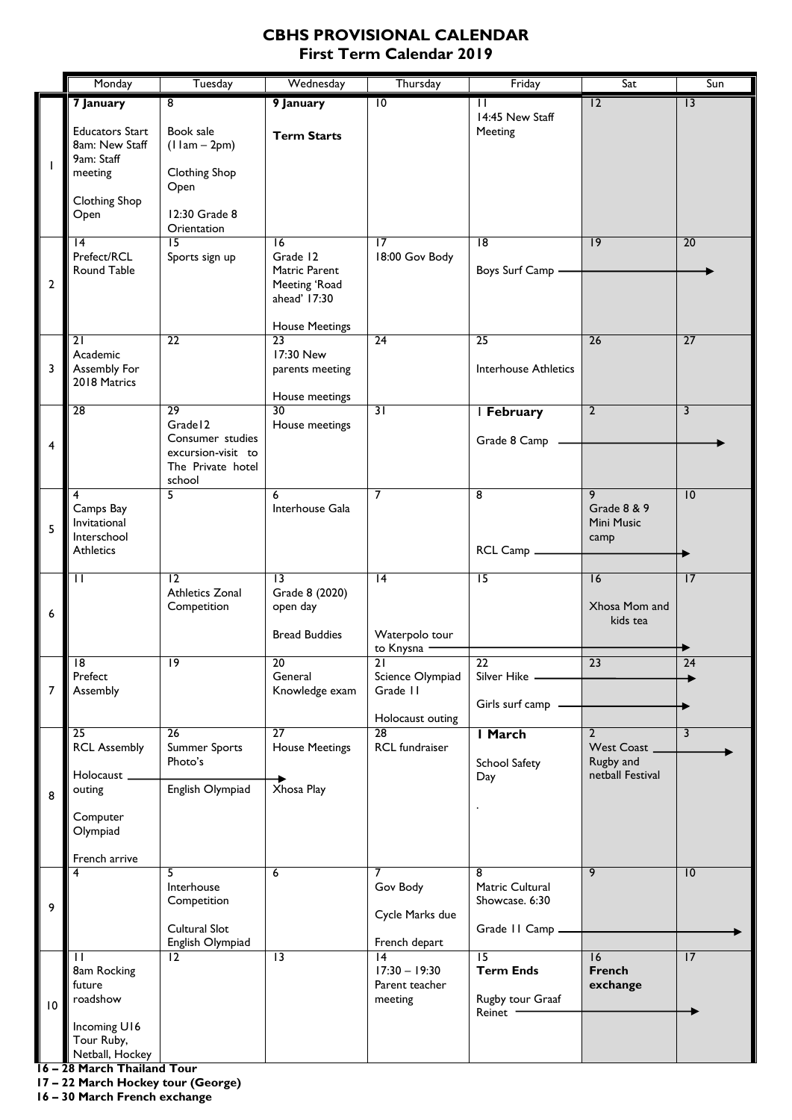## **CBHS PROVISIONAL CALENDAR First Term Calendar 2019**

|                 | Monday                                                                             | Tuesday                                                             | Wednesday                                                                           | Thursday                                          | Friday                                                            | Sat                                         | Sun             |
|-----------------|------------------------------------------------------------------------------------|---------------------------------------------------------------------|-------------------------------------------------------------------------------------|---------------------------------------------------|-------------------------------------------------------------------|---------------------------------------------|-----------------|
|                 | 7 January                                                                          | $\overline{8}$                                                      | 9 January                                                                           | $\overline{10}$                                   | П                                                                 | $\overline{12}$                             | 3               |
| $\mathbf{I}$    | <b>Educators Start</b><br>8am: New Staff<br>9am: Staff<br>meeting<br>Clothing Shop | Book sale<br>$(11am - 2pm)$<br><b>Clothing Shop</b><br>Open         | <b>Term Starts</b>                                                                  |                                                   | 14:45 New Staff<br>Meeting                                        |                                             |                 |
|                 | Open<br>$\overline{14}$                                                            | 12:30 Grade 8<br>Orientation<br>$\overline{15}$                     | $\overline{6}$                                                                      | 17                                                | $\overline{8}$                                                    | 9                                           | 20              |
| 2               | Prefect/RCL<br>Round Table                                                         | Sports sign up                                                      | Grade 12<br>Matric Parent<br>Meeting 'Road<br>ahead' 17:30<br><b>House Meetings</b> | 18:00 Gov Body                                    | Boys Surf Camp                                                    |                                             |                 |
|                 | 21                                                                                 | $\overline{22}$                                                     | $\overline{23}$                                                                     | $\overline{24}$                                   | $\overline{25}$                                                   | $\overline{26}$                             | 27              |
| 3               | Academic<br>Assembly For<br>2018 Matrics                                           |                                                                     | 17:30 New<br>parents meeting<br>House meetings                                      |                                                   | <b>Interhouse Athletics</b>                                       |                                             |                 |
| 4               | 28                                                                                 | 29<br>Grade <sub>12</sub><br>Consumer studies<br>excursion-visit to | 30<br>House meetings                                                                | $\overline{31}$                                   | I February<br>Grade 8 Camp                                        | $\overline{2}$                              | 3               |
|                 |                                                                                    | The Private hotel<br>school                                         |                                                                                     |                                                   |                                                                   |                                             |                 |
| 5               | 4<br>Camps Bay<br>Invitational<br>Interschool<br><b>Athletics</b>                  | 5                                                                   | 6<br>Interhouse Gala                                                                | $\overline{7}$                                    | 8<br>RCL Camp _                                                   | 9<br>Grade 8 & 9<br>Mini Music<br>camp      | 10              |
|                 |                                                                                    |                                                                     |                                                                                     |                                                   |                                                                   |                                             |                 |
| 6               | П                                                                                  | $\overline{12}$<br><b>Athletics Zonal</b><br>Competition            | $\overline{13}$<br>Grade 8 (2020)<br>open day<br><b>Bread Buddies</b>               | $\overline{14}$<br>Waterpolo tour                 | $\overline{15}$                                                   | 16<br>Xhosa Mom and<br>kids tea             | $\overline{17}$ |
|                 |                                                                                    |                                                                     |                                                                                     | to Knysna -                                       |                                                                   |                                             |                 |
| 7               | $\overline{8}$<br>Prefect<br>Assembly                                              | 19                                                                  | 20<br>General<br>Knowledge exam                                                     | $\overline{21}$<br>Science Olympiad<br>Grade II   | 22<br>Silver Hike -<br>Girls surf camp                            | $\overline{23}$                             | 24              |
|                 | $\overline{25}$                                                                    | $\overline{26}$                                                     | $\overline{27}$                                                                     | Holocaust outing<br>28                            | I March                                                           | 2                                           | 3               |
|                 | <b>RCL Assembly</b><br>Holocaust_                                                  | <b>Summer Sports</b><br>Photo's                                     | <b>House Meetings</b>                                                               | RCL fundraiser                                    | School Safety<br>Day                                              | West Coast<br>Rugby and<br>netball Festival |                 |
| 8               | outing<br>Computer<br>Olympiad                                                     | English Olympiad                                                    | Xhosa Play                                                                          |                                                   |                                                                   |                                             |                 |
|                 | French arrive                                                                      | 5                                                                   | 6                                                                                   | 7                                                 | 8                                                                 | 9                                           | 10              |
| 9               |                                                                                    | Interhouse<br>Competition                                           |                                                                                     | Gov Body<br>Cycle Marks due                       | Matric Cultural<br>Showcase. 6:30                                 |                                             |                 |
|                 |                                                                                    | Cultural Slot<br>English Olympiad                                   |                                                                                     | French depart                                     | Grade II Camp.                                                    |                                             |                 |
| $\overline{10}$ | $\mathbf{I}$<br>8am Rocking<br>future<br>roadshow                                  | $\overline{12}$                                                     | $\overline{13}$                                                                     | 4<br>$17:30 - 19:30$<br>Parent teacher<br>meeting | $\overline{15}$<br><b>Term Ends</b><br>Rugby tour Graaf<br>Reinet | 16<br><b>French</b><br>exchange             | 17              |
|                 | Incoming U16<br>Tour Ruby,<br>Netball, Hockey                                      |                                                                     |                                                                                     |                                                   |                                                                   |                                             |                 |

**16 – 28 March Thailand Tour**

**17 – 22 March Hockey tour (George)**

**16 – 30 March French exchange**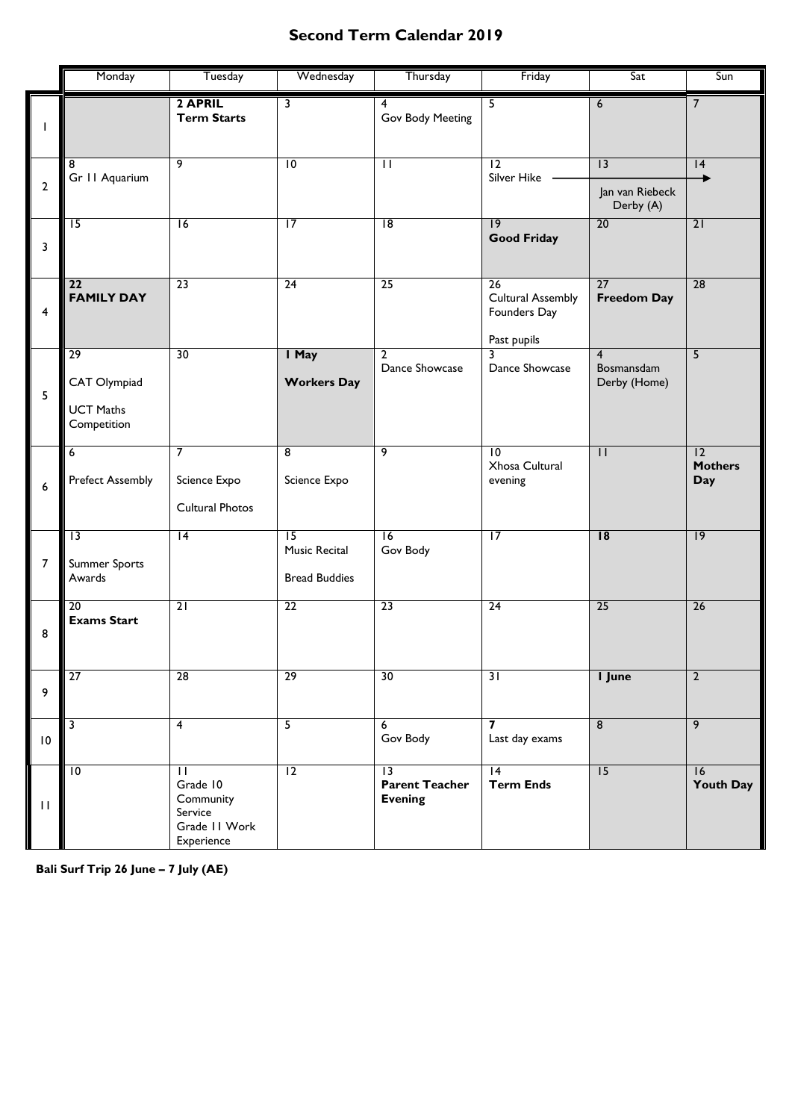## **Second Term Calendar 2019**

|                | Monday                                                             | Tuesday                                                                                    | Wednesday                                                | Thursday                                                   | Friday                                                        | Sat                                          | Sun                                |
|----------------|--------------------------------------------------------------------|--------------------------------------------------------------------------------------------|----------------------------------------------------------|------------------------------------------------------------|---------------------------------------------------------------|----------------------------------------------|------------------------------------|
| $\mathbf{I}$   |                                                                    | 2 APRIL<br><b>Term Starts</b>                                                              | 3                                                        | 4<br>Gov Body Meeting                                      | $\overline{5}$                                                | 6                                            | $\overline{7}$                     |
| $\overline{2}$ | 8<br>Gr 11 Aquarium                                                | 9                                                                                          | $\overline{10}$                                          | $\overline{\mathbf{u}}$                                    | $\overline{12}$<br>Silver Hike                                | 3<br>Jan van Riebeck<br>Derby (A)            | 4                                  |
| 3              | $\overline{15}$                                                    | 16                                                                                         | $\overline{17}$                                          | $\overline{8}$                                             | 9<br><b>Good Friday</b>                                       | $\overline{20}$                              | $\overline{21}$                    |
| $\overline{4}$ | $\overline{22}$<br><b>FAMILY DAY</b>                               | 23                                                                                         | 24                                                       | 25                                                         | 26<br><b>Cultural Assembly</b><br>Founders Day<br>Past pupils | 27<br><b>Freedom Day</b>                     | $\overline{28}$                    |
| 5              | $\overline{29}$<br>CAT Olympiad<br><b>UCT Maths</b><br>Competition | 30                                                                                         | I May<br><b>Workers Day</b>                              | 2<br>Dance Showcase                                        | 3<br>Dance Showcase                                           | $\overline{4}$<br>Bosmansdam<br>Derby (Home) | $\overline{5}$                     |
| 6              | $\overline{6}$<br><b>Prefect Assembly</b>                          | $\overline{7}$<br>Science Expo<br>Cultural Photos                                          | $\overline{8}$<br>Science Expo                           | 9                                                          | $\overline{10}$<br>Xhosa Cultural<br>evening                  | $\overline{\mathsf{I}}$                      | 12<br><b>Mothers</b><br><b>Day</b> |
| $\overline{7}$ | $\overline{13}$<br><b>Summer Sports</b><br>Awards                  | 4                                                                                          | $\overline{15}$<br>Music Recital<br><b>Bread Buddies</b> | $\overline{16}$<br>Gov Body                                | $\overline{17}$                                               | $\overline{18}$                              | $\overline{19}$                    |
| 8              | $\overline{20}$<br><b>Exams Start</b>                              | $\overline{21}$                                                                            | $\overline{22}$                                          | $\overline{23}$                                            | $\overline{24}$                                               | 25                                           | $\overline{26}$                    |
| 9              | $\overline{27}$                                                    | $\overline{28}$                                                                            | $\overline{29}$                                          | 30                                                         | $\overline{31}$                                               | I June                                       | $\overline{2}$                     |
| $\mathsf{I}0$  | $\overline{\mathbf{3}}$                                            | $\overline{4}$                                                                             | 5                                                        | 6<br>Gov Body                                              | $\overline{ }$<br>Last day exams                              | $\overline{8}$                               | $\overline{9}$                     |
| $\perp$        | $\overline{10}$                                                    | $\overline{\mathsf{I}}$<br>Grade 10<br>Community<br>Service<br>Grade II Work<br>Experience | $\overline{12}$                                          | $\overline{13}$<br><b>Parent Teacher</b><br><b>Evening</b> | $\overline{14}$<br><b>Term Ends</b>                           | 15                                           | 16<br><b>Youth Day</b>             |

**Bali Surf Trip 26 June – 7 July (AE)**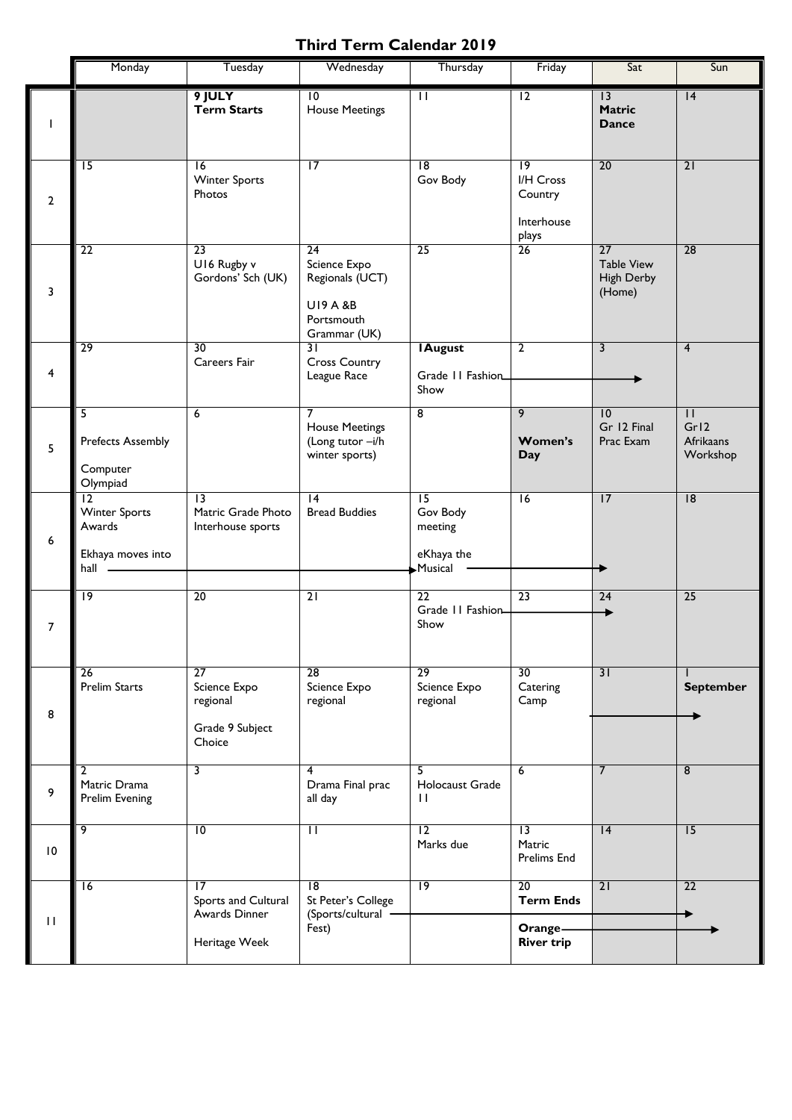## **Third Term Calendar 2019**

|                    | Monday                                                            | Tuesday                                                                  | Wednesday                                                                                  | Thursday                                                        | Friday                                                         | Sat                                                    | Sun                                                      |
|--------------------|-------------------------------------------------------------------|--------------------------------------------------------------------------|--------------------------------------------------------------------------------------------|-----------------------------------------------------------------|----------------------------------------------------------------|--------------------------------------------------------|----------------------------------------------------------|
|                    |                                                                   | 9 JULY<br><b>Term Starts</b>                                             | $\overline{10}$<br><b>House Meetings</b>                                                   | $\overline{\mathsf{H}}$                                         | $\overline{12}$                                                | 3<br><b>Matric</b><br><b>Dance</b>                     | 4                                                        |
| $\mathbf{2}$       | $\overline{15}$                                                   | $\overline{16}$<br><b>Winter Sports</b><br>Photos                        | $\overline{17}$                                                                            | $\overline{8}$<br>Gov Body                                      | $\overline{19}$<br>I/H Cross<br>Country<br>Interhouse<br>plays | 20                                                     | 21                                                       |
| 3                  | $\overline{22}$                                                   | 23<br>U16 Rugby v<br>Gordons' Sch (UK)                                   | 24<br>Science Expo<br>Regionals (UCT)<br><b>UI9 A &amp;B</b><br>Portsmouth<br>Grammar (UK) | 25                                                              | 26                                                             | 27<br><b>Table View</b><br><b>High Derby</b><br>(Home) | 28                                                       |
| 4                  | 29                                                                | 30<br>Careers Fair                                                       | 31<br><b>Cross Country</b><br>League Race                                                  | <b>IAugust</b><br>Grade 11 Fashion<br>Show                      | $\overline{2}$                                                 | 3                                                      | $\overline{4}$                                           |
| 5                  | 5.<br><b>Prefects Assembly</b><br>Computer<br>Olympiad            | $\overline{6}$                                                           | <b>House Meetings</b><br>(Long tutor -i/h<br>winter sports)                                | $\overline{\bf 8}$                                              | 9<br>Women's<br>Day                                            | $\overline{10}$<br>Gr 12 Final<br>Prac Exam            | $\overline{\mathsf{H}}$<br>Gr12<br>Afrikaans<br>Workshop |
| 6                  | 12<br><b>Winter Sports</b><br>Awards<br>Ekhaya moves into<br>hall | $\overline{13}$<br>Matric Grade Photo<br>Interhouse sports               | $\overline{14}$<br><b>Bread Buddies</b>                                                    | $\overline{15}$<br>Gov Body<br>meeting<br>eKhaya the<br>Musical | $\overline{16}$                                                | 17                                                     | 8                                                        |
| $\overline{7}$     | $\overline{19}$                                                   | $\overline{20}$                                                          | $\overline{21}$                                                                            | 22<br>Grade II Fashion<br>Show                                  | $\overline{23}$                                                | 24                                                     | $\overline{25}$                                          |
| 8                  | $\overline{26}$<br><b>Prelim Starts</b>                           | $\overline{27}$<br>Science Expo<br>regional<br>Grade 9 Subject<br>Choice | $\overline{28}$<br>Science Expo<br>regional                                                | $\overline{29}$<br>Science Expo<br>regional                     | 30<br>Catering<br>Camp                                         | $\overline{31}$                                        | <b>September</b>                                         |
| 9                  | 2<br>Matric Drama<br>Prelim Evening                               | 3                                                                        | 4<br>Drama Final prac<br>all day                                                           | 5.<br>Holocaust Grade<br>$\mathbf{H}$                           | 6                                                              | $\overline{7}$                                         | $\overline{8}$                                           |
| $\,$ l $\,$ 0 $\,$ | 9                                                                 | $\overline{10}$                                                          | $\mathbf{H}$                                                                               | $\overline{12}$<br>Marks due                                    | $\overline{13}$<br>Matric<br>Prelims End                       | $\overline{14}$                                        | 15                                                       |
| $\mathbf{H}$       | $\overline{16}$                                                   | 17<br>Sports and Cultural<br>Awards Dinner<br>Heritage Week              | $\overline{18}$<br>St Peter's College<br>(Sports/cultural ·<br>Fest)                       | $\overline{19}$                                                 | 20<br><b>Term Ends</b><br>Orange-<br><b>River trip</b>         | $\overline{21}$                                        | 22                                                       |